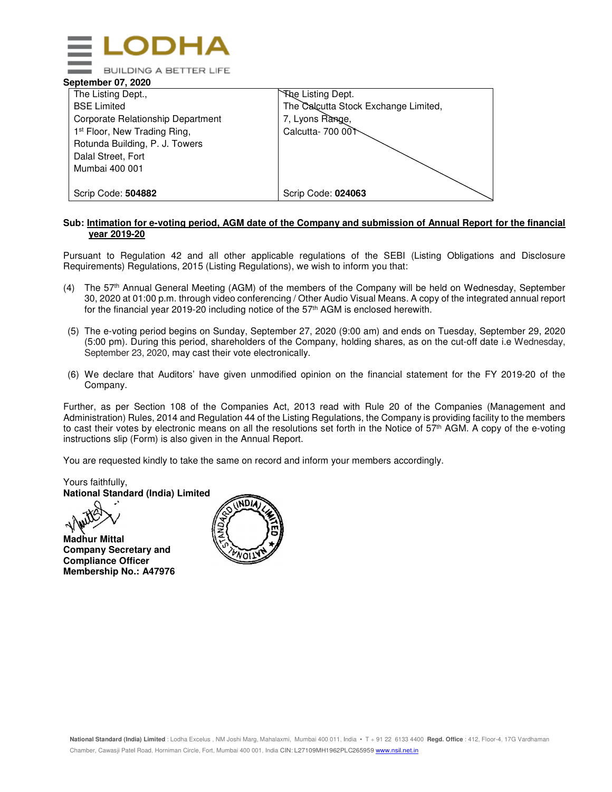

#### **September 07, 2020**

| The Listing Dept.,                       | The Listing Dept.                    |
|------------------------------------------|--------------------------------------|
| <b>BSE Limited</b>                       | The Calcutta Stock Exchange Limited, |
| Corporate Relationship Department        | 7, Lyons Range,                      |
| 1 <sup>st</sup> Floor, New Trading Ring, | Calcutta- 700 001                    |
| Rotunda Building, P. J. Towers           |                                      |
| Dalal Street, Fort                       |                                      |
| Mumbai 400 001                           |                                      |
|                                          |                                      |
| Scrip Code: 504882                       | Scrip Code: 024063                   |

#### **Sub: Intimation for e-voting period, AGM date of the Company and submission of Annual Report for the financial year 2019-20**

Pursuant to Regulation 42 and all other applicable regulations of the SEBI (Listing Obligations and Disclosure Requirements) Regulations, 2015 (Listing Regulations), we wish to inform you that:

- (4) The 57th Annual General Meeting (AGM) of the members of the Company will be held on Wednesday, September 30, 2020 at 01:00 p.m. through video conferencing / Other Audio Visual Means. A copy of the integrated annual report for the financial year 2019-20 including notice of the 57th AGM is enclosed herewith.
- (5) The e-voting period begins on Sunday, September 27, 2020 (9:00 am) and ends on Tuesday, September 29, 2020 (5:00 pm). During this period, shareholders of the Company, holding shares, as on the cut-off date i.e Wednesday, September 23, 2020, may cast their vote electronically.
- (6) We declare that Auditors' have given unmodified opinion on the financial statement for the FY 2019-20 of the Company.

Further, as per Section 108 of the Companies Act, 2013 read with Rule 20 of the Companies (Management and Administration) Rules, 2014 and Regulation 44 of the Listing Regulations, the Company is providing facility to the members to cast their votes by electronic means on all the resolutions set forth in the Notice of 57<sup>th</sup> AGM. A copy of the e-voting instructions slip (Form) is also given in the Annual Report.

You are requested kindly to take the same on record and inform your members accordingly.

Yours faithfully, **National Standard (India) Limited** 

**Madhur Mittal Company Secretary and Compliance Officer Membership No.: A47976** 

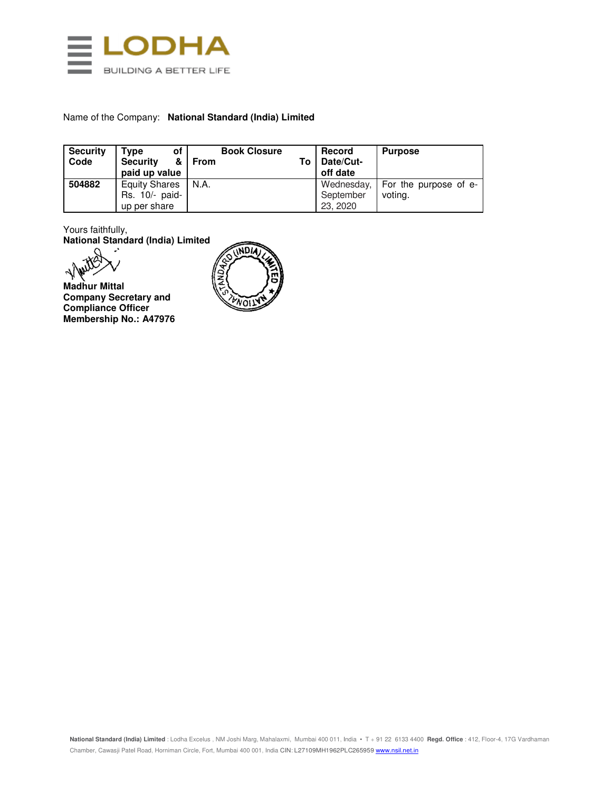

#### Name of the Company: **National Standard (India) Limited**

| <b>Security</b><br>Code | Type<br>οf<br><b>Security</b><br>&<br>paid up value | <b>Book Closure</b><br><b>From</b> | Тο | Record<br>Date/Cut-<br>off date | <b>Purpose</b>        |
|-------------------------|-----------------------------------------------------|------------------------------------|----|---------------------------------|-----------------------|
| 504882                  | <b>Equity Shares</b>                                | N.A.                               |    | Wednesday,                      | For the purpose of e- |
|                         | Rs. 10/- paid-                                      |                                    |    | September                       | voting.               |
|                         | up per share                                        |                                    |    | 23, 2020                        |                       |

Yours faithfully, **National Standard (India) Limited** 

ألمه

**Madhur Mittal Company Secretary and Compliance Officer Membership No.: A47976** 

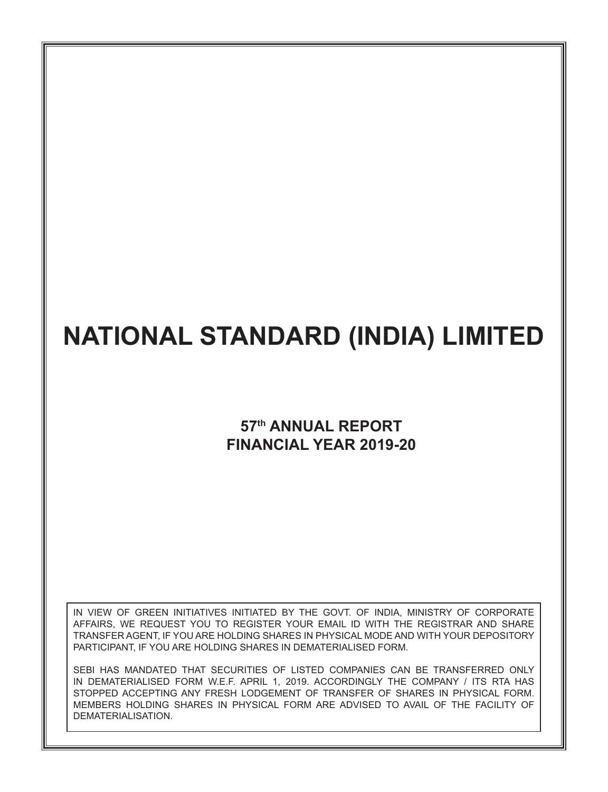## **57th ANNUAL REPORT FINANCIAL YEAR 2019-20**

IN VIEW OF GREEN INITIATIVES INITIATED BY THE GOVT. OF INDIA, MINISTRY OF CORPORATE AFFAIRS, WE REQUEST YOU TO REGISTER YOUR EMAIL ID WITH THE REGISTRAR AND SHARE TRANSFER AGENT, IF YOU ARE HOLDING SHARES IN PHYSICAL MODE AND WITH YOUR DEPOSITORY PARTICIPANT, IF YOU ARE HOLDING SHARES IN DEMATERIALISED FORM.

SEBI HAS MANDATED THAT SECURITIES OF LISTED COMPANIES CAN BE TRANSFERRED ONLY IN DEMATERIALISED FORM W.E.F. APRIL 1, 2019. ACCORDINGLY THE COMPANY / ITS RTA HAS STOPPED ACCEPTING ANY FRESH LODGEMENT OF TRANSFER OF SHARES IN PHYSICAL FORM. MEMBERS HOLDING SHARES IN PHYSICAL FORM ARE ADVISED TO AVAIL OF THE FACILITY OF DEMATERIALISATION.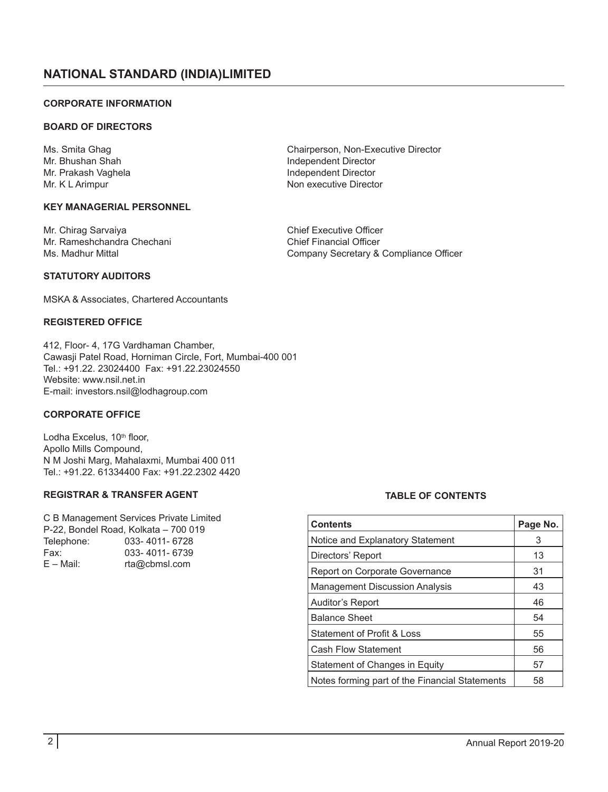#### **CORPORATE INFORMATION**

#### **BOARD OF DIRECTORS**

Ms. Smita Ghag Chairperson, Non-Executive Director<br>Mr. Bhushan Shah Chairperson, Non-Executive Director Mr. Bhushan Shah Independent Director<br>Mr. Prakash Vaghela Independent Director Mr. Prakash Vaghela Independent Director<br>Mr. K. L Arimpur Independent Director<br>Independent Director

#### **KEY MANAGERIAL PERSONNEL**

Mr. Chirag Sarvaiya Chief Executive Officer Mr. Rameshchandra Chechani<br>Ms. Madhur Mittal

**STATUTORY AUDITORS**

MSKA & Associates, Chartered Accountants

#### **REGISTERED OFFICE**

412, Floor- 4, 17G Vardhaman Chamber, Cawasji Patel Road, Horniman Circle, Fort, Mumbai-400 001 Tel.: +91.22. 23024400 Fax: +91.22.23024550 Website: www.nsil.net.in E-mail: investors.nsil@lodhagroup.com

#### **CORPORATE OFFICE**

Lodha Excelus, 10<sup>th</sup> floor, Apollo Mills Compound, N M Joshi Marg, Mahalaxmi, Mumbai 400 011 Tel.: +91.22. 61334400 Fax: +91.22.2302 4420

#### **REGISTRAR & TRANSFER AGENT**

C B Management Services Private Limited P-22, Bondel Road, Kolkata – 700 019 Telephone: 033-4011-6728<br>Fax: 033-4011-6739 Fax: 033-4011-6739<br>F – Mail: ta@cbmsl.com rta@cbmsl.com

#### **TABLE OF CONTENTS**

| <b>Contents</b>                                | Page No. |
|------------------------------------------------|----------|
| Notice and Explanatory Statement               | 3        |
| Directors' Report                              | 13       |
| Report on Corporate Governance                 | 31       |
| <b>Management Discussion Analysis</b>          | 43       |
| Auditor's Report                               | 46       |
| <b>Balance Sheet</b>                           | 54       |
| Statement of Profit & Loss                     | 55       |
| <b>Cash Flow Statement</b>                     | 56       |
| Statement of Changes in Equity                 | 57       |
| Notes forming part of the Financial Statements | 58       |

Non executive Director

Company Secretary & Compliance Officer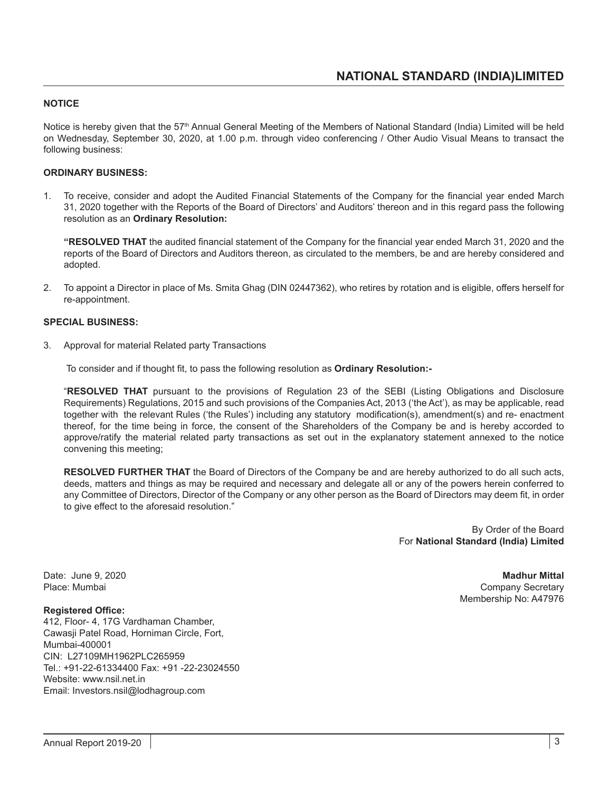#### **NOTICE**

Notice is hereby given that the 57<sup>th</sup> Annual General Meeting of the Members of National Standard (India) Limited will be held on Wednesday, September 30, 2020, at 1.00 p.m. through video conferencing / Other Audio Visual Means to transact the following business:

#### **ORDINARY BUSINESS:**

1. To receive, consider and adopt the Audited Financial Statements of the Company for the financial year ended March 31, 2020 together with the Reports of the Board of Directors' and Auditors' thereon and in this regard pass the following resolution as an **Ordinary Resolution:**

**"RESOLVED THAT** the audited financial statement of the Company for the financial year ended March 31, 2020 and the reports of the Board of Directors and Auditors thereon, as circulated to the members, be and are hereby considered and adopted.

2. To appoint a Director in place of Ms. Smita Ghag (DIN 02447362), who retires by rotation and is eligible, offers herself for re-appointment.

#### **SPECIAL BUSINESS:**

3. Approval for material Related party Transactions

To consider and if thought fit, to pass the following resolution as **Ordinary Resolution:-**

"**RESOLVED THAT** pursuant to the provisions of Regulation 23 of the SEBI (Listing Obligations and Disclosure Requirements) Regulations, 2015 and such provisions of the Companies Act, 2013 ('the Act'), as may be applicable, read together with the relevant Rules ('the Rules') including any statutory modification(s), amendment(s) and re- enactment thereof, for the time being in force, the consent of the Shareholders of the Company be and is hereby accorded to approve/ratify the material related party transactions as set out in the explanatory statement annexed to the notice convening this meeting;

**RESOLVED FURTHER THAT** the Board of Directors of the Company be and are hereby authorized to do all such acts, deeds, matters and things as may be required and necessary and delegate all or any of the powers herein conferred to any Committee of Directors, Director of the Company or any other person as the Board of Directors may deem fit, in order to give effect to the aforesaid resolution."

> By Order of the Board For **National Standard (India) Limited**

#### **Registered Office:**

412, Floor- 4, 17G Vardhaman Chamber, Cawasji Patel Road, Horniman Circle, Fort, Mumbai-400001 CIN: L27109MH1962PLC265959 Tel.: +91-22-61334400 Fax: +91 -22-23024550 Website: www.nsil.net.in Email: Investors.nsil@lodhagroup.com

Date: June 9, 2020 **Madhur Mittal** Company Secretary Membership No: A47976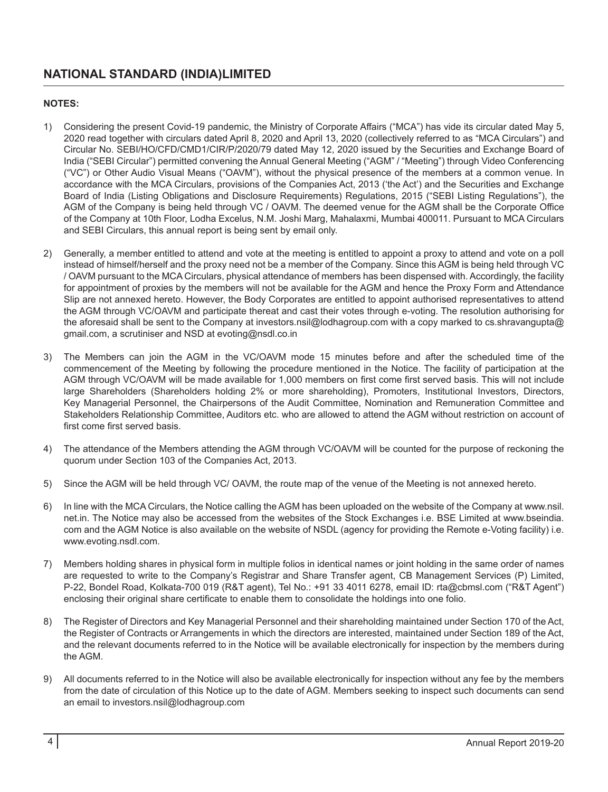#### **NOTES:**

- 1) Considering the present Covid-19 pandemic, the Ministry of Corporate Affairs ("MCA") has vide its circular dated May 5, 2020 read together with circulars dated April 8, 2020 and April 13, 2020 (collectively referred to as "MCA Circulars") and Circular No. SEBI/HO/CFD/CMD1/CIR/P/2020/79 dated May 12, 2020 issued by the Securities and Exchange Board of India ("SEBI Circular") permitted convening the Annual General Meeting ("AGM" / "Meeting") through Video Conferencing ("VC") or Other Audio Visual Means ("OAVM"), without the physical presence of the members at a common venue. In accordance with the MCA Circulars, provisions of the Companies Act, 2013 ('the Act') and the Securities and Exchange Board of India (Listing Obligations and Disclosure Requirements) Regulations, 2015 ("SEBI Listing Regulations"), the AGM of the Company is being held through VC / OAVM. The deemed venue for the AGM shall be the Corporate Office of the Company at 10th Floor, Lodha Excelus, N.M. Joshi Marg, Mahalaxmi, Mumbai 400011. Pursuant to MCA Circulars and SEBI Circulars, this annual report is being sent by email only.
- 2) Generally, a member entitled to attend and vote at the meeting is entitled to appoint a proxy to attend and vote on a poll instead of himself/herself and the proxy need not be a member of the Company. Since this AGM is being held through VC / OAVM pursuant to the MCA Circulars, physical attendance of members has been dispensed with. Accordingly, the facility for appointment of proxies by the members will not be available for the AGM and hence the Proxy Form and Attendance Slip are not annexed hereto. However, the Body Corporates are entitled to appoint authorised representatives to attend the AGM through VC/OAVM and participate thereat and cast their votes through e-voting. The resolution authorising for the aforesaid shall be sent to the Company at investors.nsil@lodhagroup.com with a copy marked to cs.shravangupta@ gmail.com, a scrutiniser and NSD at evoting@nsdl.co.in
- 3) The Members can join the AGM in the VC/OAVM mode 15 minutes before and after the scheduled time of the commencement of the Meeting by following the procedure mentioned in the Notice. The facility of participation at the AGM through VC/OAVM will be made available for 1,000 members on first come first served basis. This will not include large Shareholders (Shareholders holding 2% or more shareholding), Promoters, Institutional Investors, Directors, Key Managerial Personnel, the Chairpersons of the Audit Committee, Nomination and Remuneration Committee and Stakeholders Relationship Committee, Auditors etc. who are allowed to attend the AGM without restriction on account of first come first served basis.
- 4) The attendance of the Members attending the AGM through VC/OAVM will be counted for the purpose of reckoning the quorum under Section 103 of the Companies Act, 2013.
- 5) Since the AGM will be held through VC/ OAVM, the route map of the venue of the Meeting is not annexed hereto.
- 6) In line with the MCA Circulars, the Notice calling the AGM has been uploaded on the website of the Company at www.nsil. net.in. The Notice may also be accessed from the websites of the Stock Exchanges i.e. BSE Limited at www.bseindia. com and the AGM Notice is also available on the website of NSDL (agency for providing the Remote e-Voting facility) i.e. www.evoting.nsdl.com.
- 7) Members holding shares in physical form in multiple folios in identical names or joint holding in the same order of names are requested to write to the Company's Registrar and Share Transfer agent, CB Management Services (P) Limited, P-22, Bondel Road, Kolkata-700 019 (R&T agent), Tel No.: +91 33 4011 6278, email ID: rta@cbmsl.com ("R&T Agent") enclosing their original share certificate to enable them to consolidate the holdings into one folio.
- 8) The Register of Directors and Key Managerial Personnel and their shareholding maintained under Section 170 of the Act, the Register of Contracts or Arrangements in which the directors are interested, maintained under Section 189 of the Act, and the relevant documents referred to in the Notice will be available electronically for inspection by the members during the AGM.
- 9) All documents referred to in the Notice will also be available electronically for inspection without any fee by the members from the date of circulation of this Notice up to the date of AGM. Members seeking to inspect such documents can send an email to investors.nsil@lodhagroup.com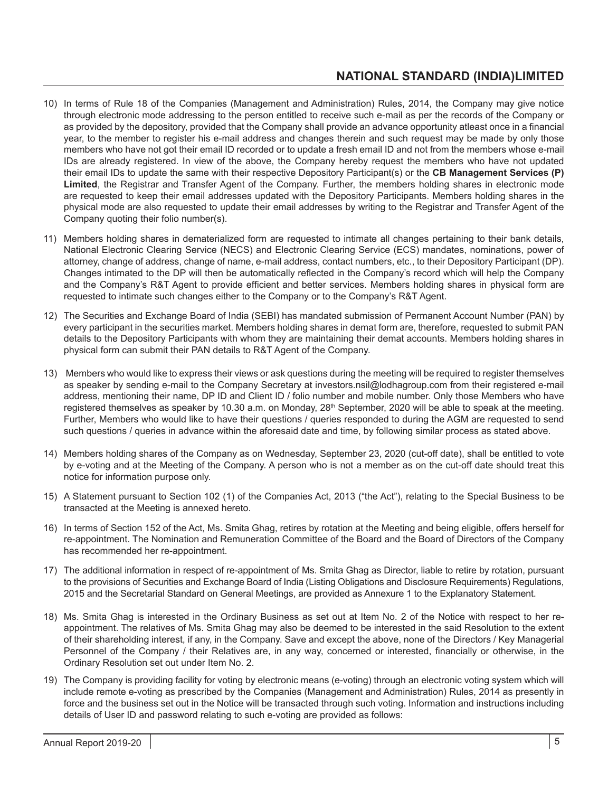- 10) In terms of Rule 18 of the Companies (Management and Administration) Rules, 2014, the Company may give notice through electronic mode addressing to the person entitled to receive such e-mail as per the records of the Company or as provided by the depository, provided that the Company shall provide an advance opportunity atleast once in a financial year, to the member to register his e-mail address and changes therein and such request may be made by only those members who have not got their email ID recorded or to update a fresh email ID and not from the members whose e-mail IDs are already registered. In view of the above, the Company hereby request the members who have not updated their email IDs to update the same with their respective Depository Participant(s) or the **CB Management Services (P) Limited**, the Registrar and Transfer Agent of the Company. Further, the members holding shares in electronic mode are requested to keep their email addresses updated with the Depository Participants. Members holding shares in the physical mode are also requested to update their email addresses by writing to the Registrar and Transfer Agent of the Company quoting their folio number(s).
- 11) Members holding shares in dematerialized form are requested to intimate all changes pertaining to their bank details, National Electronic Clearing Service (NECS) and Electronic Clearing Service (ECS) mandates, nominations, power of attorney, change of address, change of name, e-mail address, contact numbers, etc., to their Depository Participant (DP). Changes intimated to the DP will then be automatically reflected in the Company's record which will help the Company and the Company's R&T Agent to provide efficient and better services. Members holding shares in physical form are requested to intimate such changes either to the Company or to the Company's R&T Agent.
- 12) The Securities and Exchange Board of India (SEBI) has mandated submission of Permanent Account Number (PAN) by every participant in the securities market. Members holding shares in demat form are, therefore, requested to submit PAN details to the Depository Participants with whom they are maintaining their demat accounts. Members holding shares in physical form can submit their PAN details to R&T Agent of the Company.
- 13) Members who would like to express their views or ask questions during the meeting will be required to register themselves as speaker by sending e-mail to the Company Secretary at investors.nsil@lodhagroup.com from their registered e-mail address, mentioning their name, DP ID and Client ID / folio number and mobile number. Only those Members who have registered themselves as speaker by 10.30 a.m. on Monday, 28<sup>th</sup> September, 2020 will be able to speak at the meeting. Further, Members who would like to have their questions / queries responded to during the AGM are requested to send such questions / queries in advance within the aforesaid date and time, by following similar process as stated above.
- 14) Members holding shares of the Company as on Wednesday, September 23, 2020 (cut-off date), shall be entitled to vote by e-voting and at the Meeting of the Company. A person who is not a member as on the cut-off date should treat this notice for information purpose only.
- 15) A Statement pursuant to Section 102 (1) of the Companies Act, 2013 ("the Act"), relating to the Special Business to be transacted at the Meeting is annexed hereto.
- 16) In terms of Section 152 of the Act, Ms. Smita Ghag, retires by rotation at the Meeting and being eligible, offers herself for re-appointment. The Nomination and Remuneration Committee of the Board and the Board of Directors of the Company has recommended her re-appointment.
- 17) The additional information in respect of re-appointment of Ms. Smita Ghag as Director, liable to retire by rotation, pursuant to the provisions of Securities and Exchange Board of India (Listing Obligations and Disclosure Requirements) Regulations, 2015 and the Secretarial Standard on General Meetings, are provided as Annexure 1 to the Explanatory Statement.
- 18) Ms. Smita Ghag is interested in the Ordinary Business as set out at Item No. 2 of the Notice with respect to her reappointment. The relatives of Ms. Smita Ghag may also be deemed to be interested in the said Resolution to the extent of their shareholding interest, if any, in the Company. Save and except the above, none of the Directors / Key Managerial Personnel of the Company / their Relatives are, in any way, concerned or interested, financially or otherwise, in the Ordinary Resolution set out under Item No. 2.
- 19) The Company is providing facility for voting by electronic means (e-voting) through an electronic voting system which will include remote e-voting as prescribed by the Companies (Management and Administration) Rules, 2014 as presently in force and the business set out in the Notice will be transacted through such voting. Information and instructions including details of User ID and password relating to such e-voting are provided as follows: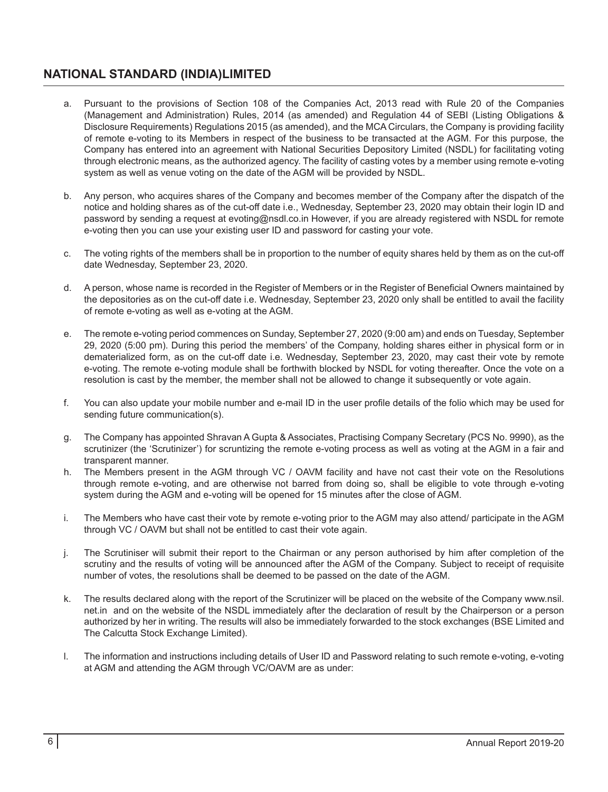- a. Pursuant to the provisions of Section 108 of the Companies Act, 2013 read with Rule 20 of the Companies (Management and Administration) Rules, 2014 (as amended) and Regulation 44 of SEBI (Listing Obligations & Disclosure Requirements) Regulations 2015 (as amended), and the MCA Circulars, the Company is providing facility of remote e-voting to its Members in respect of the business to be transacted at the AGM. For this purpose, the Company has entered into an agreement with National Securities Depository Limited (NSDL) for facilitating voting through electronic means, as the authorized agency. The facility of casting votes by a member using remote e-voting system as well as venue voting on the date of the AGM will be provided by NSDL.
- b. Any person, who acquires shares of the Company and becomes member of the Company after the dispatch of the notice and holding shares as of the cut-off date i.e., Wednesday, September 23, 2020 may obtain their login ID and password by sending a request at evoting@nsdl.co.in However, if you are already registered with NSDL for remote e-voting then you can use your existing user ID and password for casting your vote.
- c. The voting rights of the members shall be in proportion to the number of equity shares held by them as on the cut-off date Wednesday, September 23, 2020.
- d. A person, whose name is recorded in the Register of Members or in the Register of Beneficial Owners maintained by the depositories as on the cut-off date i.e. Wednesday, September 23, 2020 only shall be entitled to avail the facility of remote e-voting as well as e-voting at the AGM.
- e. The remote e-voting period commences on Sunday, September 27, 2020 (9:00 am) and ends on Tuesday, September 29, 2020 (5:00 pm). During this period the members' of the Company, holding shares either in physical form or in dematerialized form, as on the cut-off date i.e. Wednesday, September 23, 2020, may cast their vote by remote e-voting. The remote e-voting module shall be forthwith blocked by NSDL for voting thereafter. Once the vote on a resolution is cast by the member, the member shall not be allowed to change it subsequently or vote again.
- f. You can also update your mobile number and e-mail ID in the user profile details of the folio which may be used for sending future communication(s).
- g. The Company has appointed Shravan A Gupta & Associates, Practising Company Secretary (PCS No. 9990), as the scrutinizer (the 'Scrutinizer') for scruntizing the remote e-voting process as well as voting at the AGM in a fair and transparent manner.
- h. The Members present in the AGM through VC / OAVM facility and have not cast their vote on the Resolutions through remote e-voting, and are otherwise not barred from doing so, shall be eligible to vote through e-voting system during the AGM and e-voting will be opened for 15 minutes after the close of AGM.
- i. The Members who have cast their vote by remote e-voting prior to the AGM may also attend/ participate in the AGM through VC / OAVM but shall not be entitled to cast their vote again.
- j. The Scrutiniser will submit their report to the Chairman or any person authorised by him after completion of the scrutiny and the results of voting will be announced after the AGM of the Company. Subject to receipt of requisite number of votes, the resolutions shall be deemed to be passed on the date of the AGM.
- k. The results declared along with the report of the Scrutinizer will be placed on the website of the Company www.nsil. net.in and on the website of the NSDL immediately after the declaration of result by the Chairperson or a person authorized by her in writing. The results will also be immediately forwarded to the stock exchanges (BSE Limited and The Calcutta Stock Exchange Limited).
- l. The information and instructions including details of User ID and Password relating to such remote e-voting, e-voting at AGM and attending the AGM through VC/OAVM are as under: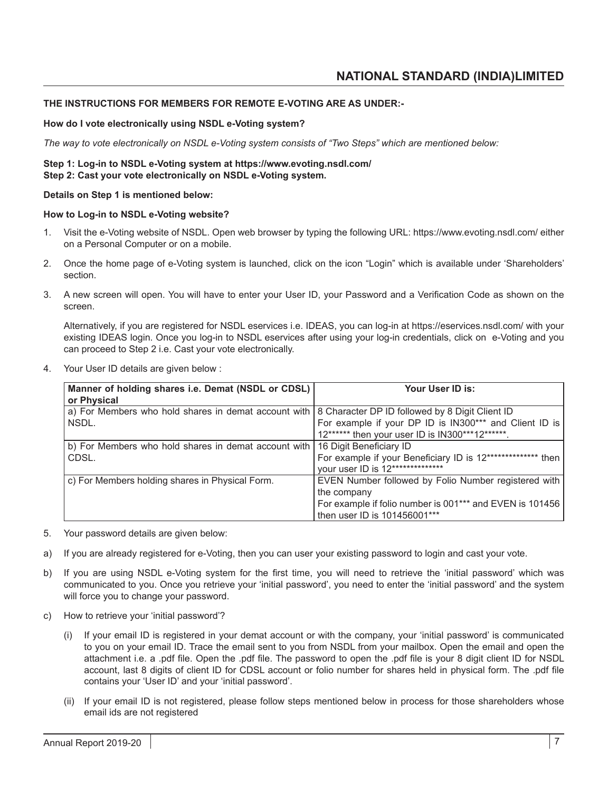#### **THE INSTRUCTIONS FOR MEMBERS FOR REMOTE E-VOTING ARE AS UNDER:-**

#### **How do I vote electronically using NSDL e-Voting system?**

*The way to vote electronically on NSDL e-Voting system consists of "Two Steps" which are mentioned below:*

#### **Step 1: Log-in to NSDL e-Voting system at https://www.evoting.nsdl.com/ Step 2: Cast your vote electronically on NSDL e-Voting system.**

**Details on Step 1 is mentioned below:**

#### **How to Log-in to NSDL e-Voting website?**

- 1. Visit the e-Voting website of NSDL. Open web browser by typing the following URL: https://www.evoting.nsdl.com/ either on a Personal Computer or on a mobile.
- 2. Once the home page of e-Voting system is launched, click on the icon "Login" which is available under 'Shareholders' section.
- 3. A new screen will open. You will have to enter your User ID, your Password and a Verification Code as shown on the screen.

Alternatively, if you are registered for NSDL eservices i.e. IDEAS, you can log-in at https://eservices.nsdl.com/ with your existing IDEAS login. Once you log-in to NSDL eservices after using your log-in credentials, click on e-Voting and you can proceed to Step 2 i.e. Cast your vote electronically.

4. Your User ID details are given below :

| Manner of holding shares i.e. Demat (NSDL or CDSL)   | Your User ID is:                                            |
|------------------------------------------------------|-------------------------------------------------------------|
| or Physical                                          |                                                             |
| a) For Members who hold shares in demat account with | 8 Character DP ID followed by 8 Digit Client ID             |
| NSDL.                                                | For example if your DP ID is IN300*** and Client ID is      |
|                                                      | 12****** then your user ID is IN300***12******.             |
| b) For Members who hold shares in demat account with | 16 Digit Beneficiary ID                                     |
| CDSL.                                                | For example if your Beneficiary ID is 12************** then |
|                                                      | your user ID is 12**************                            |
| c) For Members holding shares in Physical Form.      | EVEN Number followed by Folio Number registered with        |
|                                                      | the company                                                 |
|                                                      | For example if folio number is 001*** and EVEN is 101456    |
|                                                      | then user ID is 101456001***                                |

5. Your password details are given below:

- a) If you are already registered for e-Voting, then you can user your existing password to login and cast your vote.
- b) If you are using NSDL e-Voting system for the first time, you will need to retrieve the 'initial password' which was communicated to you. Once you retrieve your 'initial password', you need to enter the 'initial password' and the system will force you to change your password.
- c) How to retrieve your 'initial password'?
	- (i) If your email ID is registered in your demat account or with the company, your 'initial password' is communicated to you on your email ID. Trace the email sent to you from NSDL from your mailbox. Open the email and open the attachment i.e. a .pdf file. Open the .pdf file. The password to open the .pdf file is your 8 digit client ID for NSDL account, last 8 digits of client ID for CDSL account or folio number for shares held in physical form. The .pdf file contains your 'User ID' and your 'initial password'.
	- (ii) If your email ID is not registered, please follow steps mentioned below in process for those shareholders whose email ids are not registered